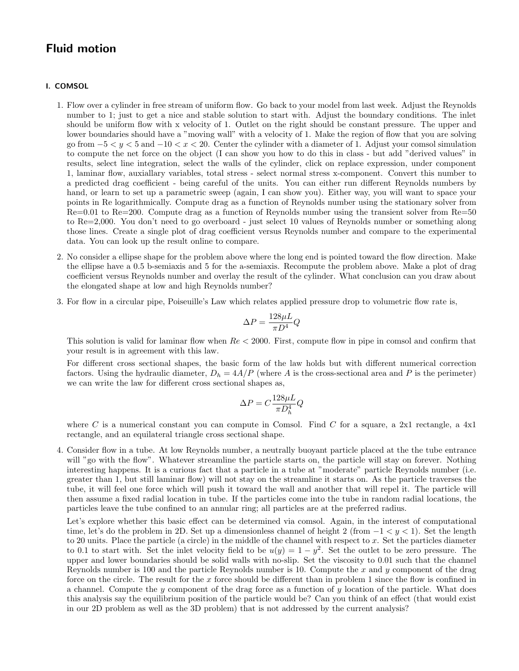## Fluid motion

## I. COMSOL

- 1. Flow over a cylinder in free stream of uniform flow. Go back to your model from last week. Adjust the Reynolds number to 1; just to get a nice and stable solution to start with. Adjust the boundary conditions. The inlet should be uniform flow with x velocity of 1. Outlet on the right should be constant pressure. The upper and lower boundaries should have a "moving wall" with a velocity of 1. Make the region of flow that you are solving go from  $-5 < y < 5$  and  $-10 < x < 20$ . Center the cylinder with a diameter of 1. Adjust your comsol simulation to compute the net force on the object (I can show you how to do this in class - but add "derived values" in results, select line integration, select the walls of the cylinder, click on replace expression, under component 1, laminar flow, auxiallary variables, total stress - select normal stress x-component. Convert this number to a predicted drag coefficient - being careful of the units. You can either run different Reynolds numbers by hand, or learn to set up a parametric sweep (again, I can show you). Either way, you will want to space your points in Re logarithmically. Compute drag as a function of Reynolds number using the stationary solver from Re=0.01 to Re=200. Compute drag as a function of Reynolds number using the transient solver from Re=50 to Re=2,000. You don't need to go overboard - just select 10 values of Reynolds number or something along those lines. Create a single plot of drag coefficient versus Reynolds number and compare to the experimental data. You can look up the result online to compare.
- 2. No consider a ellipse shape for the problem above where the long end is pointed toward the flow direction. Make the ellipse have a 0.5 b-semiaxis and 5 for the a-semiaxis. Recompute the problem above. Make a plot of drag coefficient versus Reynolds number and overlay the result of the cylinder. What conclusion can you draw about the elongated shape at low and high Reynolds number?
- 3. For flow in a circular pipe, Poiseuille's Law which relates applied pressure drop to volumetric flow rate is,

$$
\Delta P = \frac{128 \mu L}{\pi D^4} Q
$$

This solution is valid for laminar flow when  $Re < 2000$ . First, compute flow in pipe in comsol and confirm that your result is in agreement with this law.

For different cross sectional shapes, the basic form of the law holds but with different numerical correction factors. Using the hydraulic diameter,  $D_h = 4A/P$  (where A is the cross-sectional area and P is the perimeter) we can write the law for different cross sectional shapes as,

$$
\Delta P = C \frac{128 \mu L}{\pi D_h^4} Q
$$

where C is a numerical constant you can compute in Comsol. Find C for a square, a 2x1 rectangle, a  $4x1$ rectangle, and an equilateral triangle cross sectional shape.

4. Consider flow in a tube. At low Reynolds number, a neutrally buoyant particle placed at the the tube entrance will "go with the flow". Whatever streamline the particle starts on, the particle will stay on forever. Nothing interesting happens. It is a curious fact that a particle in a tube at "moderate" particle Reynolds number (i.e. greater than 1, but still laminar flow) will not stay on the streamline it starts on. As the particle traverses the tube, it will feel one force which will push it toward the wall and another that will repel it. The particle will then assume a fixed radial location in tube. If the particles come into the tube in random radial locations, the particles leave the tube confined to an annular ring; all particles are at the preferred radius.

Let's explore whether this basic effect can be determined via comsol. Again, in the interest of computational time, let's do the problem in 2D. Set up a dimensionless channel of height 2 (from  $-1 < y < 1$ ). Set the length to 20 units. Place the particle (a circle) in the middle of the channel with respect to x. Set the particles diameter to 0.1 to start with. Set the inlet velocity field to be  $u(y) = 1 - y^2$ . Set the outlet to be zero pressure. The upper and lower boundaries should be solid walls with no-slip. Set the viscosity to 0.01 such that the channel Reynolds number is 100 and the particle Reynolds number is 10. Compute the x and y component of the drag force on the circle. The result for the x force should be different than in problem 1 since the flow is confined in a channel. Compute the y component of the drag force as a function of y location of the particle. What does this analysis say the equilibrium position of the particle would be? Can you think of an effect (that would exist in our 2D problem as well as the 3D problem) that is not addressed by the current analysis?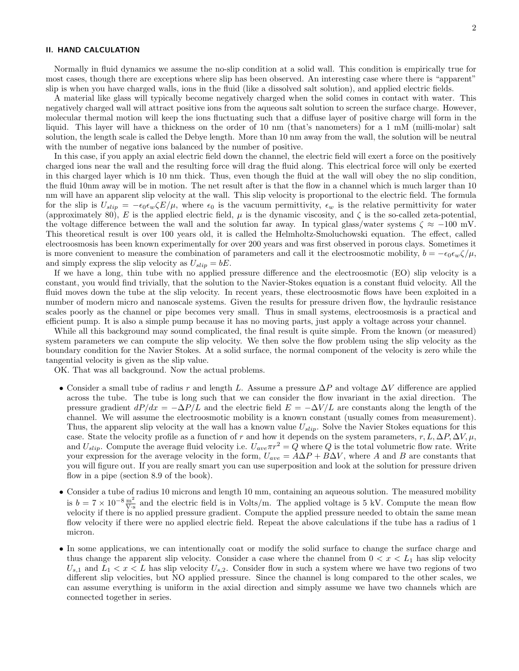## II. HAND CALCULATION

Normally in fluid dynamics we assume the no-slip condition at a solid wall. This condition is empirically true for most cases, though there are exceptions where slip has been observed. An interesting case where there is "apparent" slip is when you have charged walls, ions in the fluid (like a dissolved salt solution), and applied electric fields.

A material like glass will typically become negatively charged when the solid comes in contact with water. This negatively charged wall will attract positive ions from the aqueous salt solution to screen the surface charge. However, molecular thermal motion will keep the ions fluctuating such that a diffuse layer of positive charge will form in the liquid. This layer will have a thickness on the order of 10 nm (that's nanometers) for a 1 mM (milli-molar) salt solution, the length scale is called the Debye length. More than 10 nm away from the wall, the solution will be neutral with the number of negative ions balanced by the number of positive.

In this case, if you apply an axial electric field down the channel, the electric field will exert a force on the positively charged ions near the wall and the resulting force will drag the fluid along. This electrical force will only be exerted in this charged layer which is 10 nm thick. Thus, even though the fluid at the wall will obey the no slip condition, the fluid 10nm away will be in motion. The net result after is that the flow in a channel which is much larger than 10 nm will have an apparent slip velocity at the wall. This slip velocity is proportional to the electric field. The formula for the slip is  $U_{slip} = -\epsilon_0 \epsilon_w \zeta E/\mu$ , where  $\epsilon_0$  is the vacuum permittivity,  $\epsilon_w$  is the relative permittivity for water (approximately 80), E is the applied electric field,  $\mu$  is the dynamic viscosity, and  $\zeta$  is the so-called zeta-potential, the voltage difference between the wall and the solution far away. In typical glass/water systems  $\zeta \approx -100$  mV. This theoretical result is over 100 years old, it is called the Helmholtz-Smoluchowski equation. The effect, called electroosmosis has been known experimentally for over 200 years and was first observed in porous clays. Sometimes it is more convenient to measure the combination of parameters and call it the electroosmotic mobility,  $b = -\epsilon_0 \epsilon_w \zeta/\mu$ , and simply express the slip velocity as  $U_{slip} = bE$ .

If we have a long, thin tube with no applied pressure difference and the electroosmotic (EO) slip velocity is a constant, you would find trivially, that the solution to the Navier-Stokes equation is a constant fluid velocity. All the fluid moves down the tube at the slip velocity. In recent years, these electroosmotic flows have been exploited in a number of modern micro and nanoscale systems. Given the results for pressure driven flow, the hydraulic resistance scales poorly as the channel or pipe becomes very small. Thus in small systems, electroosmosis is a practical and efficient pump. It is also a simple pump because it has no moving parts, just apply a voltage across your channel.

While all this background may sound complicated, the final result is quite simple. From the known (or measured) system parameters we can compute the slip velocity. We then solve the flow problem using the slip velocity as the boundary condition for the Navier Stokes. At a solid surface, the normal component of the velocity is zero while the tangential velocity is given as the slip value.

OK. That was all background. Now the actual problems.

- Consider a small tube of radius r and length L. Assume a pressure  $\Delta P$  and voltage  $\Delta V$  difference are applied across the tube. The tube is long such that we can consider the flow invariant in the axial direction. The pressure gradient  $dP/dx = -\Delta P/L$  and the electric field  $E = -\Delta V/L$  are constants along the length of the channel. We will assume the electroosmotic mobility is a known constant (usually comes from measurement). Thus, the apparent slip velocity at the wall has a known value  $U_{slip}$ . Solve the Navier Stokes equations for this case. State the velocity profile as a function of r and how it depends on the system parameters, r, L,  $\Delta P$ ,  $\Delta V$ ,  $\mu$ , and  $U_{slip}$ . Compute the average fluid velocity i.e.  $U_{ave} \pi r^2 = Q$  where Q is the total volumetric flow rate. Write your expression for the average velocity in the form,  $U_{ave} = A\Delta P + B\Delta V$ , where A and B are constants that you will figure out. If you are really smart you can use superposition and look at the solution for pressure driven flow in a pipe (section 8.9 of the book).
- Consider a tube of radius 10 microns and length 10 mm, containing an aqueous solution. The measured mobility is  $b = 7 \times 10^{-8} \frac{\text{m}^2}{\text{V} \cdot \text{s}}$  and the electric field is in Volts/m. The applied voltage is 5 kV. Compute the mean flow velocity if there is no applied pressure gradient. Compute the applied pressure needed to obtain the same mean flow velocity if there were no applied electric field. Repeat the above calculations if the tube has a radius of 1 micron.
- In some applications, we can intentionally coat or modify the solid surface to change the surface charge and thus change the apparent slip velocity. Consider a case where the channel from  $0 < x < L_1$  has slip velocity  $U_{s,1}$  and  $L_1 < x < L$  has slip velocity  $U_{s,2}$ . Consider flow in such a system where we have two regions of two different slip velocities, but NO applied pressure. Since the channel is long compared to the other scales, we can assume everything is uniform in the axial direction and simply assume we have two channels which are connected together in series.